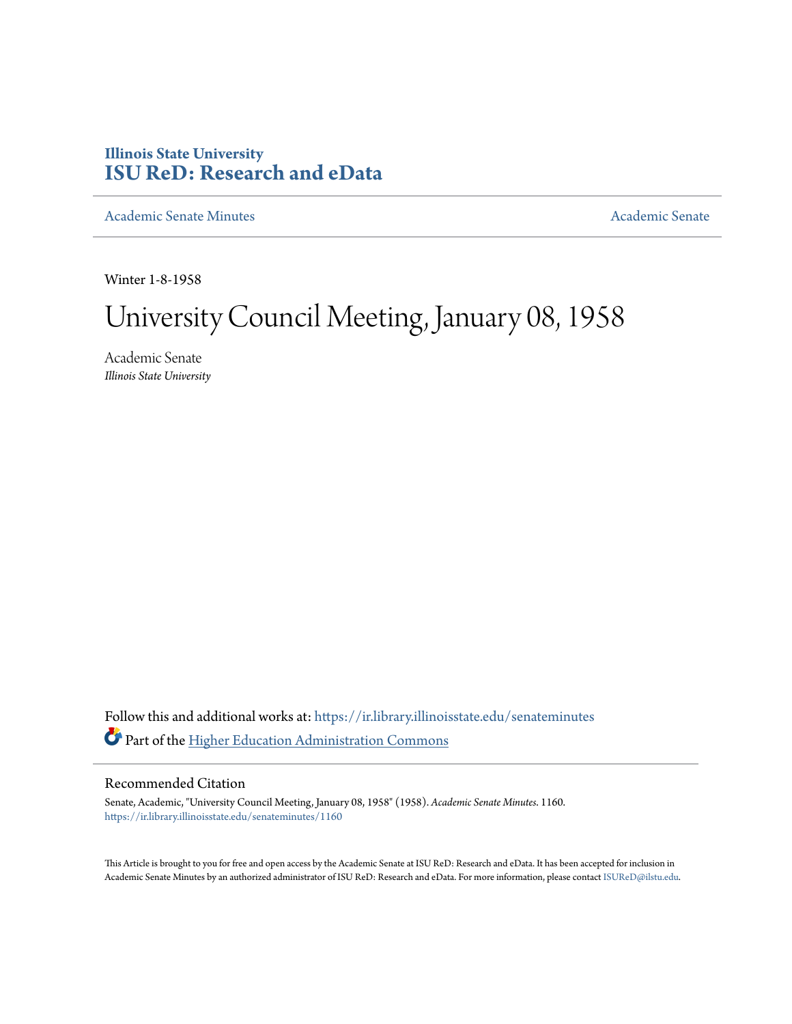## **Illinois State University [ISU ReD: Research and eData](https://ir.library.illinoisstate.edu?utm_source=ir.library.illinoisstate.edu%2Fsenateminutes%2F1160&utm_medium=PDF&utm_campaign=PDFCoverPages)**

[Academic Senate Minutes](https://ir.library.illinoisstate.edu/senateminutes?utm_source=ir.library.illinoisstate.edu%2Fsenateminutes%2F1160&utm_medium=PDF&utm_campaign=PDFCoverPages) [Academic Senate](https://ir.library.illinoisstate.edu/senate?utm_source=ir.library.illinoisstate.edu%2Fsenateminutes%2F1160&utm_medium=PDF&utm_campaign=PDFCoverPages) Academic Senate

Winter 1-8-1958

## University Council Meeting, January 08, 1958

Academic Senate *Illinois State University*

Follow this and additional works at: [https://ir.library.illinoisstate.edu/senateminutes](https://ir.library.illinoisstate.edu/senateminutes?utm_source=ir.library.illinoisstate.edu%2Fsenateminutes%2F1160&utm_medium=PDF&utm_campaign=PDFCoverPages) Part of the [Higher Education Administration Commons](http://network.bepress.com/hgg/discipline/791?utm_source=ir.library.illinoisstate.edu%2Fsenateminutes%2F1160&utm_medium=PDF&utm_campaign=PDFCoverPages)

## Recommended Citation

Senate, Academic, "University Council Meeting, January 08, 1958" (1958). *Academic Senate Minutes*. 1160. [https://ir.library.illinoisstate.edu/senateminutes/1160](https://ir.library.illinoisstate.edu/senateminutes/1160?utm_source=ir.library.illinoisstate.edu%2Fsenateminutes%2F1160&utm_medium=PDF&utm_campaign=PDFCoverPages)

This Article is brought to you for free and open access by the Academic Senate at ISU ReD: Research and eData. It has been accepted for inclusion in Academic Senate Minutes by an authorized administrator of ISU ReD: Research and eData. For more information, please contact [ISUReD@ilstu.edu.](mailto:ISUReD@ilstu.edu)